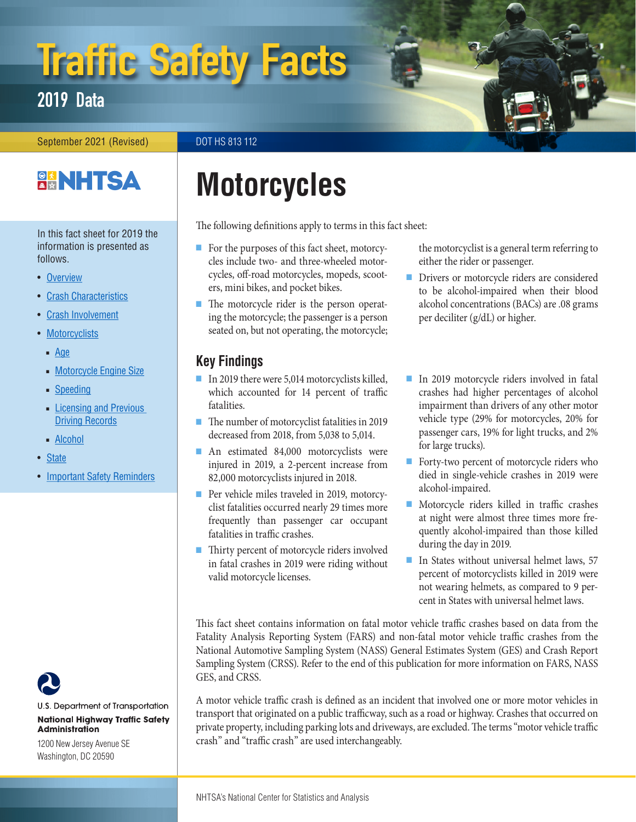# Traffic Safety Facts

# 2019 Data

#### September 2021 (Revised) DOT HS 813 112

# **BANHTSA**

In this fact sheet for 2019 the information is presented as follows.

- Overview
- Crash Characteristics
- Crash Involvement
- Motorcyclists
	- Age
	- Motorcycle Engine Size
	- Speeding
	- Licensing and Previous Driving Records
	- Alcohol
- State
- Important Safety Reminders



U.S. Department of Transportation **National Highway Traffic Safety Administration** 

1200 New Jersey Avenue SE Washington, DC 20590

# **Motorcycles**

The following definitions apply to terms in this fact sheet:

- For the purposes of this fact sheet, motorcycles include two- and three-wheeled motorcycles, off-road motorcycles, mopeds, scooters, mini bikes, and pocket bikes.
- The motorcycle rider is the person operating the motorcycle; the passenger is a person seated on, but not operating, the motorcycle;

# **Key Findings**

- In 2019 there were 5,014 motorcyclists killed, which accounted for 14 percent of traffic fatalities.
- The number of motorcyclist fatalities in 2019 decreased from 2018, from 5,038 to 5,014.
- An estimated 84,000 motorcyclists were injured in 2019, a 2-percent increase from 82,000 motorcyclists injured in 2018.
- Per vehicle miles traveled in 2019, motorcyclist fatalities occurred nearly 29 times more frequently than passenger car occupant fatalities in traffic crashes.
- Thirty percent of motorcycle riders involved in fatal crashes in 2019 were riding without valid motorcycle licenses.

the motorcyclist is a general term referring to either the rider or passenger.

- Drivers or motorcycle riders are considered to be alcohol-impaired when their blood alcohol concentrations (BACs) are .08 grams per deciliter (g/dL) or higher.
- In 2019 motorcycle riders involved in fatal crashes had higher percentages of alcohol impairment than drivers of any other motor vehicle type (29% for motorcycles, 20% for passenger cars, 19% for light trucks, and 2% for large trucks).
- Forty-two percent of motorcycle riders who died in single-vehicle crashes in 2019 were alcohol-impaired.
- Motorcycle riders killed in traffic crashes at night were almost three times more frequently alcohol-impaired than those killed during the day in 2019.
- In States without universal helmet laws, 57 percent of motorcyclists killed in 2019 were not wearing helmets, as compared to 9 percent in States with universal helmet laws.

This fact sheet contains information on fatal motor vehicle traffic crashes based on data from the Fatality Analysis Reporting System (FARS) and non-fatal motor vehicle traffic crashes from the National Automotive Sampling System (NASS) General Estimates System (GES) and Crash Report Sampling System (CRSS). Refer to the end of this publication for more information on FARS, NASS GES, and CRSS.

A motor vehicle traffic crash is defined as an incident that involved one or more motor vehicles in transport that originated on a public trafficway, such as a road or highway. Crashes that occurred on private property, including parking lots and driveways, are excluded. The terms "motor vehicle traffic crash" and "traffic crash" are used interchangeably.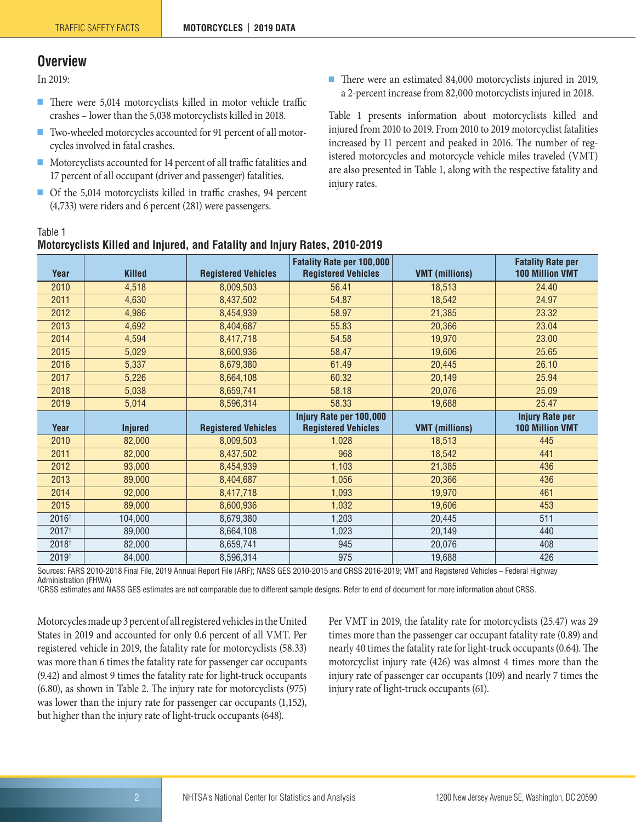### **Overview**

In 2019:

Table 1

- There were 5,014 motorcyclists killed in motor vehicle traffic crashes – lower than the 5,038 motorcyclists killed in 2018.
- Two-wheeled motorcycles accounted for 91 percent of all motorcycles involved in fatal crashes.
- Motorcyclists accounted for 14 percent of all traffic fatalities and 17 percent of all occupant (driver and passenger) fatalities.
- Of the 5,014 motorcyclists killed in traffic crashes, 94 percent (4,733) were riders and 6 percent (281) were passengers.

■ There were an estimated 84,000 motorcyclists injured in 2019, a 2-percent increase from 82,000 motorcyclists injured in 2018.

Table 1 presents information about motorcyclists killed and injured from 2010 to 2019. From 2010 to 2019 motorcyclist fatalities increased by 11 percent and peaked in 2016. The number of registered motorcycles and motorcycle vehicle miles traveled (VMT) are also presented in Table 1, along with the respective fatality and injury rates.

| Year              | <b>Killed</b>  | <b>Registered Vehicles</b> | <b>Fatality Rate per 100,000</b><br><b>Registered Vehicles</b> | <b>VMT</b> (millions) | <b>Fatality Rate per</b><br><b>100 Million VMT</b> |  |
|-------------------|----------------|----------------------------|----------------------------------------------------------------|-----------------------|----------------------------------------------------|--|
| 2010              | 4,518          | 8,009,503                  | 56.41                                                          | 18,513                | 24.40                                              |  |
| 2011              | 4,630          | 8,437,502                  | 54.87                                                          | 18,542                | 24.97                                              |  |
| 2012              | 4,986          | 8,454,939                  | 58.97                                                          | 21,385                | 23.32                                              |  |
| 2013              | 4,692          | 8,404,687                  | 55.83                                                          | 20,366                | 23.04                                              |  |
| 2014              | 4,594          | 8,417,718                  | 54.58                                                          | 19,970                | 23.00                                              |  |
| 2015              | 5,029          | 8,600,936                  | 58.47                                                          | 19,606                | 25.65                                              |  |
| 2016              | 5,337          | 8,679,380                  | 61.49                                                          | 20,445                | 26.10                                              |  |
| 2017              | 5,226          | 8,664,108                  | 60.32                                                          | 20,149                | 25.94                                              |  |
| 2018              | 5,038          | 8,659,741                  | 58.18                                                          | 20,076                | 25.09                                              |  |
| 2019              | 5,014          | 8,596,314                  | 58.33                                                          | 19,688                | 25.47                                              |  |
|                   |                |                            |                                                                |                       |                                                    |  |
|                   |                |                            | Injury Rate per 100,000                                        |                       | <b>Injury Rate per</b>                             |  |
| Year              | <b>Injured</b> | <b>Registered Vehicles</b> | <b>Registered Vehicles</b>                                     | <b>VMT</b> (millions) | <b>100 Million VMT</b>                             |  |
| 2010              | 82,000         | 8,009,503                  | 1,028                                                          | 18,513                | 445                                                |  |
| 2011              | 82,000         | 8,437,502                  | 968                                                            | 18,542                | 441                                                |  |
| 2012              | 93,000         | 8,454,939                  | 1,103                                                          | 21,385                | 436                                                |  |
| 2013              | 89,000         | 8,404,687                  | 1,056                                                          | 20,366                | 436                                                |  |
| 2014              | 92,000         | 8,417,718                  | 1,093                                                          | 19,970                | 461                                                |  |
| 2015              | 89,000         | 8,600,936                  | 1,032                                                          | 19,606                | 453                                                |  |
| 2016 <sup>+</sup> | 104,000        | 8,679,380                  | 1,203                                                          | 20,445                | 511                                                |  |
| 2017 <sup>†</sup> | 89,000         | 8,664,108                  | 1,023                                                          | 20,149                | 440                                                |  |
| $2018^{+}$        | 82,000         | 8,659,741                  | 945                                                            | 20,076                | 408                                                |  |

# **Motorcyclists Killed and Injured, and Fatality and Injury Rates, 2010-2019**

Sources: FARS 2010-2018 Final File, 2019 Annual Report File (ARF); NASS GES 2010-2015 and CRSS 2016-2019; VMT and Registered Vehicles – Federal Highway Administration (FHWA)

† CRSS estimates and NASS GES estimates are not comparable due to different sample designs. Refer to end of document for more information about CRSS.

Motorcycles made up 3 percent of all registered vehicles in the United States in 2019 and accounted for only 0.6 percent of all VMT. Per registered vehicle in 2019, the fatality rate for motorcyclists (58.33) was more than 6 times the fatality rate for passenger car occupants (9.42) and almost 9 times the fatality rate for light-truck occupants (6.80), as shown in Table 2. The injury rate for motorcyclists (975) was lower than the injury rate for passenger car occupants (1,152), but higher than the injury rate of light-truck occupants (648).

Per VMT in 2019, the fatality rate for motorcyclists (25.47) was 29 times more than the passenger car occupant fatality rate (0.89) and nearly 40 times the fatality rate for light-truck occupants (0.64). The motorcyclist injury rate (426) was almost 4 times more than the injury rate of passenger car occupants (109) and nearly 7 times the injury rate of light-truck occupants (61).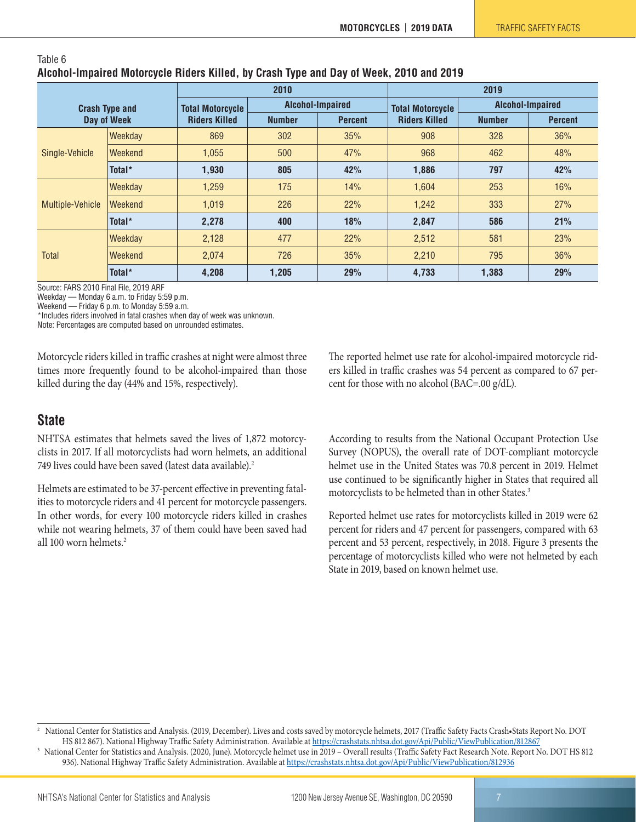#### Table 6 **Alcohol-Impaired Motorcycle Riders Killed, by Crash Type and Day of Week, 2010 and 2019**

| <b>Crash Type and</b><br>Day of Week |         |                         | 2010                            |     | 2019                    |                  |                |  |
|--------------------------------------|---------|-------------------------|---------------------------------|-----|-------------------------|------------------|----------------|--|
|                                      |         | <b>Total Motorcycle</b> | Alcohol-Impaired                |     | <b>Total Motorcycle</b> | Alcohol-Impaired |                |  |
|                                      |         | <b>Riders Killed</b>    | <b>Percent</b><br><b>Number</b> |     | <b>Riders Killed</b>    | <b>Number</b>    | <b>Percent</b> |  |
| Single-Vehicle                       | Weekday | 869                     | 302                             | 35% | 908                     | 328              | 36%            |  |
|                                      | Weekend | 1.055                   | 500                             | 47% | 968                     | 462              | 48%            |  |
|                                      | Total*  | 1,930                   | 805                             | 42% | 1,886                   | 797              | 42%            |  |
|                                      | Weekday | 1,259                   | 175                             | 14% | 1.604                   | 253              | 16%            |  |
| Multiple-Vehicle                     | Weekend | 1.019                   | 226                             | 22% | 1.242                   | 333              | 27%            |  |
|                                      | Total*  | 2.278                   | 400                             | 18% | 2.847                   | 586              | 21%            |  |
| <b>Total</b>                         | Weekday | 2,128                   | 477                             | 22% | 2,512                   | 581              | 23%            |  |
|                                      | Weekend | 2.074                   | 726                             | 35% | 2,210                   | 795              | 36%            |  |
|                                      | Total*  | 4,208                   | 1,205                           | 29% | 4,733                   | 1,383            | 29%            |  |

Source: FARS 2010 Final File, 2019 ARF

Weekday — Monday 6 a.m. to Friday 5:59 p.m.

Weekend — Friday 6 p.m. to Monday 5:59 a.m.

\*Includes riders involved in fatal crashes when day of week was unknown.

Note: Percentages are computed based on unrounded estimates.

Motorcycle riders killed in traffic crashes at night were almost three times more frequently found to be alcohol-impaired than those killed during the day (44% and 15%, respectively).

## **State**

NHTSA estimates that helmets saved the lives of 1,872 motorcyclists in 2017. If all motorcyclists had worn helmets, an additional 749 lives could have been saved (latest data available).<sup>2</sup>

Helmets are estimated to be 37-percent effective in preventing fatalities to motorcycle riders and 41 percent for motorcycle passengers. In other words, for every 100 motorcycle riders killed in crashes while not wearing helmets, 37 of them could have been saved had all 100 worn helmets.2

The reported helmet use rate for alcohol-impaired motorcycle riders killed in traffic crashes was 54 percent as compared to 67 percent for those with no alcohol (BAC=.00 g/dL).

According to results from the National Occupant Protection Use Survey (NOPUS), the overall rate of DOT-compliant motorcycle helmet use in the United States was 70.8 percent in 2019. Helmet use continued to be significantly higher in States that required all motorcyclists to be helmeted than in other States.<sup>3</sup>

Reported helmet use rates for motorcyclists killed in 2019 were 62 percent for riders and 47 percent for passengers, compared with 63 percent and 53 percent, respectively, in 2018. Figure 3 presents the percentage of motorcyclists killed who were not helmeted by each State in 2019, based on known helmet use.

3 National Center for Statistics and Analysis. (2020, June). Motorcycle helmet use in 2019 – Overall results (Traffic Safety Fact Research Note. Report No. DOT HS 812 936). National Highway Traffic Safety Administration. Available at https://crashstats.nhtsa.dot.gov/Api/Public/ViewPublication/812936

<sup>2</sup> National Center for Statistics and Analysis. (2019, December). Lives and costs saved by motorcycle helmets, 2017 (Traffic Safety Facts Crash•Stats Report No. DOT HS 812 867). National Highway Traffic Safety Administration. Available at https://crashstats.nhtsa.dot.gov/Api/Public/ViewPublication/812867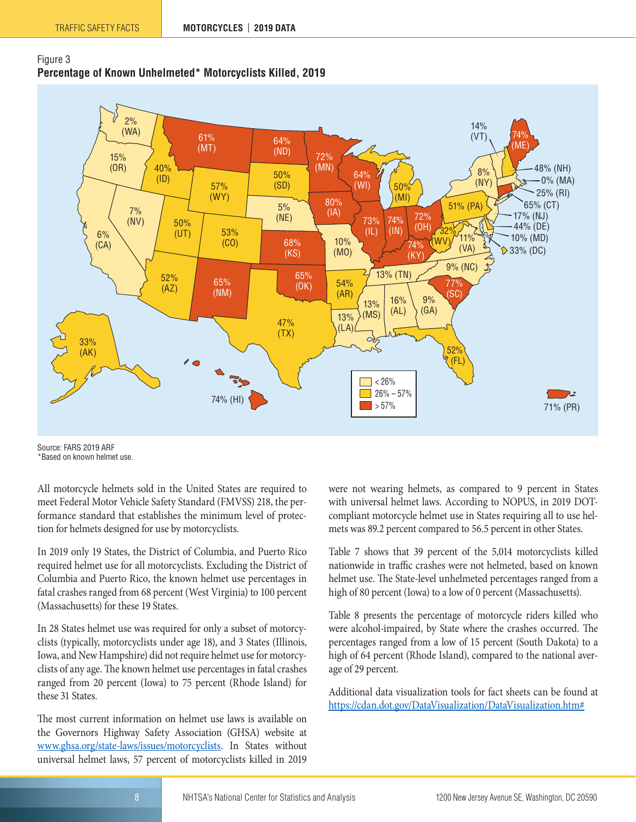



Source: FARS 2019 ARF \*Based on known helmet use.

All motorcycle helmets sold in the United States are required to meet Federal Motor Vehicle Safety Standard (FMVSS) 218, the performance standard that establishes the minimum level of protection for helmets designed for use by motorcyclists.

In 2019 only 19 States, the District of Columbia, and Puerto Rico required helmet use for all motorcyclists. Excluding the District of Columbia and Puerto Rico, the known helmet use percentages in fatal crashes ranged from 68 percent (West Virginia) to 100 percent (Massachusetts) for these 19 States.

In 28 States helmet use was required for only a subset of motorcyclists (typically, motorcyclists under age 18), and 3 States (Illinois, Iowa, and New Hampshire) did not require helmet use for motorcyclists of any age. The known helmet use percentages in fatal crashes ranged from 20 percent (Iowa) to 75 percent (Rhode Island) for these 31 States.

The most current information on helmet use laws is available on the Governors Highway Safety Association (GHSA) website at www.ghsa.org/state-laws/issues/motorcyclists. In States without universal helmet laws, 57 percent of motorcyclists killed in 2019 were not wearing helmets, as compared to 9 percent in States with universal helmet laws. According to NOPUS, in 2019 DOTcompliant motorcycle helmet use in States requiring all to use helmets was 89.2 percent compared to 56.5 percent in other States.

Table 7 shows that 39 percent of the 5,014 motorcyclists killed nationwide in traffic crashes were not helmeted, based on known helmet use. The State-level unhelmeted percentages ranged from a high of 80 percent (Iowa) to a low of 0 percent (Massachusetts).

Table 8 presents the percentage of motorcycle riders killed who were alcohol-impaired, by State where the crashes occurred. The percentages ranged from a low of 15 percent (South Dakota) to a high of 64 percent (Rhode Island), compared to the national average of 29 percent.

Additional data visualization tools for fact sheets can be found at https://cdan.dot.gov/DataVisualization/DataVisualization.htm#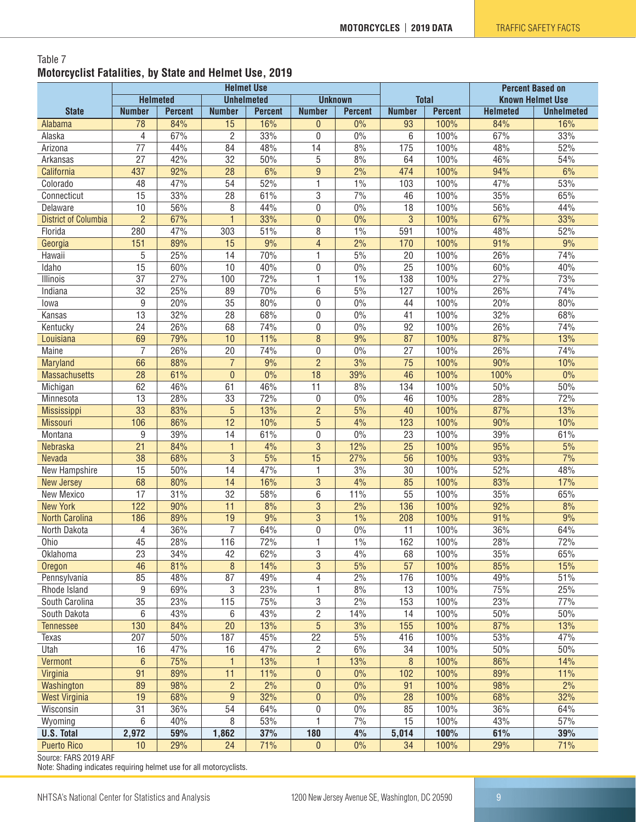#### Table 7 **Motorcyclist Fatalities, by State and Helmet Use, 2019**

| <b>Helmeted</b><br><b>Unhelmeted</b><br><b>Unknown</b><br><b>Total</b><br><b>Known Helmet Use</b><br><b>State</b><br><b>Percent</b><br><b>Number</b><br><b>Number</b><br><b>Percent</b><br><b>Helmeted</b><br><b>Number</b><br><b>Number</b><br><b>Percent</b><br><b>Percent</b><br><b>Unhelmeted</b><br>16%<br>100%<br>84%<br>78<br>84%<br>15<br>0%<br>93<br>16%<br>Alabama<br>$\theta$<br>67%<br>$\overline{2}$<br>33%<br>67%<br>33%<br>$\overline{4}$<br>$\mathbf{0}$<br>0%<br>6<br>100%<br>Alaska<br>44%<br>84<br>48%<br>14<br>8%<br>175<br>100%<br>48%<br>52%<br>77<br>Arizona<br>27<br>42%<br>32<br>50%<br>5<br>8%<br>64<br>100%<br>46%<br>54%<br>Arkansas<br>437<br>92%<br>28<br>6%<br>9<br>2%<br>474<br>100%<br>94%<br>6%<br>California<br>54<br>52%<br>1%<br>100%<br>47%<br>Colorado<br>48<br>47%<br>1<br>103<br>53%<br>$\overline{15}$<br>33%<br>$\overline{28}$<br>61%<br>3<br>7%<br>100%<br>35%<br>65%<br>46<br>Connecticut<br>8<br>56%<br>10<br>56%<br>44%<br>$\mathbf 0$<br>$0\%$<br>18<br>100%<br>44%<br>Delaware<br>$\overline{2}$<br>$\mathbf{1}$<br>3<br><b>District of Columbia</b><br>67%<br>33%<br>$\mathbf{0}$<br>0%<br>100%<br>67%<br>33%<br>8<br>280<br>47%<br>303<br>51%<br>$1\%$<br>591<br>100%<br>48%<br>52%<br>Florida<br>$\overline{4}$<br>2%<br>151<br>89%<br>15<br>9%<br>170<br>100%<br>91%<br>9%<br>Georgia<br>5<br>25%<br>14<br>70%<br>1<br>5%<br>20<br>100%<br>26%<br>74%<br>Hawaii<br>$\overline{25}$<br>15<br>60%<br>10<br>0%<br>Idaho<br>40%<br>0<br>100%<br>60%<br>40%<br>27%<br>72%<br>1%<br>138<br>100%<br>27%<br>73%<br>37<br>100<br>1<br>Illinois<br>25%<br>26%<br>32<br>89<br>70%<br>6<br>5%<br>127<br>100%<br>74%<br>Indiana<br>9<br>20%<br>$\overline{35}$<br>0%<br>80%<br>0<br>44<br>100%<br>20%<br>80%<br>lowa<br>13<br>32%<br>28<br>68%<br>$\mathbf 0$<br>100%<br>32%<br>68%<br>Kansas<br>$0\%$<br>41<br>24<br>26%<br>68<br>74%<br>92<br>100%<br>26%<br>74%<br>Kentucky<br>$\mathbf 0$<br>0%<br>69<br>79%<br>10<br>11%<br>8<br>9%<br>87<br>100%<br>87%<br>13%<br>Louisiana<br>Maine<br>7<br>26%<br>20<br>74%<br>27<br>100%<br>26%<br>74%<br>$\mathbf 0$<br>$0\%$<br>66<br>88%<br>$\overline{7}$<br>9%<br>$\overline{2}$<br>3%<br>$\overline{75}$<br>90%<br>100%<br>10%<br>Maryland<br>$\overline{28}$<br>61%<br>$\mathbf{0}$<br>$\overline{18}$<br>46<br>0%<br>0%<br>39%<br>100%<br>100%<br><b>Massachusetts</b><br>62<br>46%<br>61<br>46%<br>11<br>134<br>100%<br>50%<br>8%<br>50%<br>Michigan<br>$\overline{13}$<br>28%<br>33<br>72%<br>0%<br>100%<br>28%<br>72%<br>46<br>$\mathbf 0$<br>Minnesota<br>$\overline{33}$<br>$\overline{5}$<br>83%<br>13%<br>$\overline{2}$<br>5%<br>87%<br>40<br>100%<br>13%<br><b>Mississippi</b><br>12<br>5<br>90%<br>106<br>86%<br>10%<br>4%<br>123<br>100%<br>10%<br><b>Missouri</b><br>39%<br>61%<br>100%<br>39%<br>9<br>14<br>$\mathbf 0$<br>0%<br>23<br>61%<br>Montana<br>$\overline{3}$<br>$\overline{21}$<br>84%<br>4%<br>12%<br>$\overline{25}$<br>5%<br>$\mathbf{1}$<br>100%<br>95%<br>Nebraska<br>3<br>38<br>68%<br>5%<br>15<br>27%<br>56<br>93%<br>7%<br>Nevada<br>100%<br>15<br>50%<br>14<br>47%<br>$\mathbf{1}$<br>3%<br>30<br>100%<br>52%<br>48%<br>New Hampshire<br>68<br>80%<br>14<br>$\mathbf{3}$<br>4%<br>85<br>100%<br>83%<br>17%<br>16%<br><b>New Jersey</b><br>17<br>31%<br>32<br>58%<br>6<br>55<br>100%<br>35%<br>65%<br>11%<br>New Mexico<br>122<br>11<br>3<br>92%<br>8%<br><b>New York</b><br>90%<br>8%<br>2%<br>136<br>100%<br>19<br>$\overline{3}$<br>9%<br>186<br>89%<br>9%<br>1%<br>208<br>100%<br>91%<br><b>North Carolina</b><br>$\overline{7}$<br>36%<br>64%<br>$\boldsymbol{0}$<br>$0\%$<br>11<br>100%<br>36%<br>64%<br>North Dakota<br>4<br>45<br>28%<br>116<br>72%<br>1<br>1%<br>162<br>28%<br>72%<br>Ohio<br>100%<br>23<br>34%<br>42<br>62%<br>3<br>4%<br>68<br>100%<br>35%<br>65%<br>Oklahoma<br>$\, 8$<br>$\mathbf{3}$<br>5%<br>$\overline{57}$<br>46<br>81%<br>100%<br>85%<br>15%<br>14%<br>Oregon<br>85<br>2%<br>51%<br>48%<br>87<br>49%<br>$\sqrt{4}$<br>176<br>100%<br>49%<br>Pennsylvania<br>3<br>8%<br>9<br>69%<br>23%<br>1<br>13<br>100%<br>75%<br>25%<br>Rhode Island<br>35<br>23%<br>115<br>75%<br>3<br>2%<br>153<br>100%<br>23%<br>77%<br>South Carolina<br>$\sqrt{2}$<br>6<br>6<br>14<br>100%<br>50%<br>South Dakota<br>43%<br>43%<br>14%<br>50%<br>$\overline{5}$<br>155<br>100%<br>130<br>84%<br>20<br>13%<br>3%<br>87%<br>13%<br><b>Tennessee</b><br>207<br>187<br>22<br>100%<br>53%<br>50%<br>45%<br>$5\%$<br>416<br>47%<br><b>Texas</b><br>16<br>$\sqrt{2}$<br>$\overline{34}$<br>16<br>47%<br>47%<br>$6\%$<br>100%<br>$50\%$<br>$50%$<br>Utah<br>$6\,$<br>75%<br>$\mathbf{1}$<br>14%<br>Vermont<br>$\mathbf{1}$<br>13%<br>13%<br>8<br>100%<br>86%<br>91<br>89%<br>11<br>11%<br>$\mathbf 0$<br>$0\%$<br>102<br>100%<br>11%<br>89%<br>Virginia<br>$\overline{2}$<br>89<br>98%<br>2%<br>$\mathbf 0$<br>0%<br>91<br>100%<br>98%<br>2%<br>Washington<br>$\boldsymbol{9}$<br>19<br>68%<br>32%<br>$\mathbf{0}$<br>0%<br>28<br>100%<br>68%<br>32%<br><b>West Virginia</b><br>31<br>36%<br>$\boldsymbol{0}$<br>$0\%$<br>85<br>100%<br>Wisconsin<br>54<br>64%<br>36%<br>64%<br>53%<br>7%<br>15<br>57%<br>6<br>40%<br>8<br>1<br>100%<br>43%<br>Wyoming<br>2,972<br>59%<br>1,862<br>37%<br>180<br>4%<br>5,014<br>100%<br>61%<br>39%<br><b>U.S. Total</b><br>29%<br>71%<br>$0\%$<br>29%<br>71%<br><b>Puerto Rico</b><br>10<br>24<br>$\theta$<br>34<br>100% | <b>Helmet Use</b> |  |  |  |  |  | <b>Percent Based on</b> |  |  |  |
|--------------------------------------------------------------------------------------------------------------------------------------------------------------------------------------------------------------------------------------------------------------------------------------------------------------------------------------------------------------------------------------------------------------------------------------------------------------------------------------------------------------------------------------------------------------------------------------------------------------------------------------------------------------------------------------------------------------------------------------------------------------------------------------------------------------------------------------------------------------------------------------------------------------------------------------------------------------------------------------------------------------------------------------------------------------------------------------------------------------------------------------------------------------------------------------------------------------------------------------------------------------------------------------------------------------------------------------------------------------------------------------------------------------------------------------------------------------------------------------------------------------------------------------------------------------------------------------------------------------------------------------------------------------------------------------------------------------------------------------------------------------------------------------------------------------------------------------------------------------------------------------------------------------------------------------------------------------------------------------------------------------------------------------------------------------------------------------------------------------------------------------------------------------------------------------------------------------------------------------------------------------------------------------------------------------------------------------------------------------------------------------------------------------------------------------------------------------------------------------------------------------------------------------------------------------------------------------------------------------------------------------------------------------------------------------------------------------------------------------------------------------------------------------------------------------------------------------------------------------------------------------------------------------------------------------------------------------------------------------------------------------------------------------------------------------------------------------------------------------------------------------------------------------------------------------------------------------------------------------------------------------------------------------------------------------------------------------------------------------------------------------------------------------------------------------------------------------------------------------------------------------------------------------------------------------------------------------------------------------------------------------------------------------------------------------------------------------------------------------------------------------------------------------------------------------------------------------------------------------------------------------------------------------------------------------------------------------------------------------------------------------------------------------------------------------------------------------------------------------------------------------------------------------------------------------------------------------------------------------------------------------------------------------------------------------------------------------------------------------------------------------------------------------------------------------------------------------------------------------------------------------------------------------------------------------------------------------------------------------------------------------------------------------------------------------------------------------------------------------------------------------------------------------------------------------------------------------------------------------------------------------------------------------------------------------------------------------------------------------------------------------------------------------------------------------------------------------------------------------------------------------------------------------------------------------------------------------------------------------------------------------------------------------------------------------------------------------------------------------------------------------|-------------------|--|--|--|--|--|-------------------------|--|--|--|
|                                                                                                                                                                                                                                                                                                                                                                                                                                                                                                                                                                                                                                                                                                                                                                                                                                                                                                                                                                                                                                                                                                                                                                                                                                                                                                                                                                                                                                                                                                                                                                                                                                                                                                                                                                                                                                                                                                                                                                                                                                                                                                                                                                                                                                                                                                                                                                                                                                                                                                                                                                                                                                                                                                                                                                                                                                                                                                                                                                                                                                                                                                                                                                                                                                                                                                                                                                                                                                                                                                                                                                                                                                                                                                                                                                                                                                                                                                                                                                                                                                                                                                                                                                                                                                                                                                                                                                                                                                                                                                                                                                                                                                                                                                                                                                                                                                                                                                                                                                                                                                                                                                                                                                                                                                                                                                                                                                                      |                   |  |  |  |  |  |                         |  |  |  |
|                                                                                                                                                                                                                                                                                                                                                                                                                                                                                                                                                                                                                                                                                                                                                                                                                                                                                                                                                                                                                                                                                                                                                                                                                                                                                                                                                                                                                                                                                                                                                                                                                                                                                                                                                                                                                                                                                                                                                                                                                                                                                                                                                                                                                                                                                                                                                                                                                                                                                                                                                                                                                                                                                                                                                                                                                                                                                                                                                                                                                                                                                                                                                                                                                                                                                                                                                                                                                                                                                                                                                                                                                                                                                                                                                                                                                                                                                                                                                                                                                                                                                                                                                                                                                                                                                                                                                                                                                                                                                                                                                                                                                                                                                                                                                                                                                                                                                                                                                                                                                                                                                                                                                                                                                                                                                                                                                                                      |                   |  |  |  |  |  |                         |  |  |  |
|                                                                                                                                                                                                                                                                                                                                                                                                                                                                                                                                                                                                                                                                                                                                                                                                                                                                                                                                                                                                                                                                                                                                                                                                                                                                                                                                                                                                                                                                                                                                                                                                                                                                                                                                                                                                                                                                                                                                                                                                                                                                                                                                                                                                                                                                                                                                                                                                                                                                                                                                                                                                                                                                                                                                                                                                                                                                                                                                                                                                                                                                                                                                                                                                                                                                                                                                                                                                                                                                                                                                                                                                                                                                                                                                                                                                                                                                                                                                                                                                                                                                                                                                                                                                                                                                                                                                                                                                                                                                                                                                                                                                                                                                                                                                                                                                                                                                                                                                                                                                                                                                                                                                                                                                                                                                                                                                                                                      |                   |  |  |  |  |  |                         |  |  |  |
|                                                                                                                                                                                                                                                                                                                                                                                                                                                                                                                                                                                                                                                                                                                                                                                                                                                                                                                                                                                                                                                                                                                                                                                                                                                                                                                                                                                                                                                                                                                                                                                                                                                                                                                                                                                                                                                                                                                                                                                                                                                                                                                                                                                                                                                                                                                                                                                                                                                                                                                                                                                                                                                                                                                                                                                                                                                                                                                                                                                                                                                                                                                                                                                                                                                                                                                                                                                                                                                                                                                                                                                                                                                                                                                                                                                                                                                                                                                                                                                                                                                                                                                                                                                                                                                                                                                                                                                                                                                                                                                                                                                                                                                                                                                                                                                                                                                                                                                                                                                                                                                                                                                                                                                                                                                                                                                                                                                      |                   |  |  |  |  |  |                         |  |  |  |
|                                                                                                                                                                                                                                                                                                                                                                                                                                                                                                                                                                                                                                                                                                                                                                                                                                                                                                                                                                                                                                                                                                                                                                                                                                                                                                                                                                                                                                                                                                                                                                                                                                                                                                                                                                                                                                                                                                                                                                                                                                                                                                                                                                                                                                                                                                                                                                                                                                                                                                                                                                                                                                                                                                                                                                                                                                                                                                                                                                                                                                                                                                                                                                                                                                                                                                                                                                                                                                                                                                                                                                                                                                                                                                                                                                                                                                                                                                                                                                                                                                                                                                                                                                                                                                                                                                                                                                                                                                                                                                                                                                                                                                                                                                                                                                                                                                                                                                                                                                                                                                                                                                                                                                                                                                                                                                                                                                                      |                   |  |  |  |  |  |                         |  |  |  |
|                                                                                                                                                                                                                                                                                                                                                                                                                                                                                                                                                                                                                                                                                                                                                                                                                                                                                                                                                                                                                                                                                                                                                                                                                                                                                                                                                                                                                                                                                                                                                                                                                                                                                                                                                                                                                                                                                                                                                                                                                                                                                                                                                                                                                                                                                                                                                                                                                                                                                                                                                                                                                                                                                                                                                                                                                                                                                                                                                                                                                                                                                                                                                                                                                                                                                                                                                                                                                                                                                                                                                                                                                                                                                                                                                                                                                                                                                                                                                                                                                                                                                                                                                                                                                                                                                                                                                                                                                                                                                                                                                                                                                                                                                                                                                                                                                                                                                                                                                                                                                                                                                                                                                                                                                                                                                                                                                                                      |                   |  |  |  |  |  |                         |  |  |  |
|                                                                                                                                                                                                                                                                                                                                                                                                                                                                                                                                                                                                                                                                                                                                                                                                                                                                                                                                                                                                                                                                                                                                                                                                                                                                                                                                                                                                                                                                                                                                                                                                                                                                                                                                                                                                                                                                                                                                                                                                                                                                                                                                                                                                                                                                                                                                                                                                                                                                                                                                                                                                                                                                                                                                                                                                                                                                                                                                                                                                                                                                                                                                                                                                                                                                                                                                                                                                                                                                                                                                                                                                                                                                                                                                                                                                                                                                                                                                                                                                                                                                                                                                                                                                                                                                                                                                                                                                                                                                                                                                                                                                                                                                                                                                                                                                                                                                                                                                                                                                                                                                                                                                                                                                                                                                                                                                                                                      |                   |  |  |  |  |  |                         |  |  |  |
|                                                                                                                                                                                                                                                                                                                                                                                                                                                                                                                                                                                                                                                                                                                                                                                                                                                                                                                                                                                                                                                                                                                                                                                                                                                                                                                                                                                                                                                                                                                                                                                                                                                                                                                                                                                                                                                                                                                                                                                                                                                                                                                                                                                                                                                                                                                                                                                                                                                                                                                                                                                                                                                                                                                                                                                                                                                                                                                                                                                                                                                                                                                                                                                                                                                                                                                                                                                                                                                                                                                                                                                                                                                                                                                                                                                                                                                                                                                                                                                                                                                                                                                                                                                                                                                                                                                                                                                                                                                                                                                                                                                                                                                                                                                                                                                                                                                                                                                                                                                                                                                                                                                                                                                                                                                                                                                                                                                      |                   |  |  |  |  |  |                         |  |  |  |
|                                                                                                                                                                                                                                                                                                                                                                                                                                                                                                                                                                                                                                                                                                                                                                                                                                                                                                                                                                                                                                                                                                                                                                                                                                                                                                                                                                                                                                                                                                                                                                                                                                                                                                                                                                                                                                                                                                                                                                                                                                                                                                                                                                                                                                                                                                                                                                                                                                                                                                                                                                                                                                                                                                                                                                                                                                                                                                                                                                                                                                                                                                                                                                                                                                                                                                                                                                                                                                                                                                                                                                                                                                                                                                                                                                                                                                                                                                                                                                                                                                                                                                                                                                                                                                                                                                                                                                                                                                                                                                                                                                                                                                                                                                                                                                                                                                                                                                                                                                                                                                                                                                                                                                                                                                                                                                                                                                                      |                   |  |  |  |  |  |                         |  |  |  |
|                                                                                                                                                                                                                                                                                                                                                                                                                                                                                                                                                                                                                                                                                                                                                                                                                                                                                                                                                                                                                                                                                                                                                                                                                                                                                                                                                                                                                                                                                                                                                                                                                                                                                                                                                                                                                                                                                                                                                                                                                                                                                                                                                                                                                                                                                                                                                                                                                                                                                                                                                                                                                                                                                                                                                                                                                                                                                                                                                                                                                                                                                                                                                                                                                                                                                                                                                                                                                                                                                                                                                                                                                                                                                                                                                                                                                                                                                                                                                                                                                                                                                                                                                                                                                                                                                                                                                                                                                                                                                                                                                                                                                                                                                                                                                                                                                                                                                                                                                                                                                                                                                                                                                                                                                                                                                                                                                                                      |                   |  |  |  |  |  |                         |  |  |  |
|                                                                                                                                                                                                                                                                                                                                                                                                                                                                                                                                                                                                                                                                                                                                                                                                                                                                                                                                                                                                                                                                                                                                                                                                                                                                                                                                                                                                                                                                                                                                                                                                                                                                                                                                                                                                                                                                                                                                                                                                                                                                                                                                                                                                                                                                                                                                                                                                                                                                                                                                                                                                                                                                                                                                                                                                                                                                                                                                                                                                                                                                                                                                                                                                                                                                                                                                                                                                                                                                                                                                                                                                                                                                                                                                                                                                                                                                                                                                                                                                                                                                                                                                                                                                                                                                                                                                                                                                                                                                                                                                                                                                                                                                                                                                                                                                                                                                                                                                                                                                                                                                                                                                                                                                                                                                                                                                                                                      |                   |  |  |  |  |  |                         |  |  |  |
|                                                                                                                                                                                                                                                                                                                                                                                                                                                                                                                                                                                                                                                                                                                                                                                                                                                                                                                                                                                                                                                                                                                                                                                                                                                                                                                                                                                                                                                                                                                                                                                                                                                                                                                                                                                                                                                                                                                                                                                                                                                                                                                                                                                                                                                                                                                                                                                                                                                                                                                                                                                                                                                                                                                                                                                                                                                                                                                                                                                                                                                                                                                                                                                                                                                                                                                                                                                                                                                                                                                                                                                                                                                                                                                                                                                                                                                                                                                                                                                                                                                                                                                                                                                                                                                                                                                                                                                                                                                                                                                                                                                                                                                                                                                                                                                                                                                                                                                                                                                                                                                                                                                                                                                                                                                                                                                                                                                      |                   |  |  |  |  |  |                         |  |  |  |
|                                                                                                                                                                                                                                                                                                                                                                                                                                                                                                                                                                                                                                                                                                                                                                                                                                                                                                                                                                                                                                                                                                                                                                                                                                                                                                                                                                                                                                                                                                                                                                                                                                                                                                                                                                                                                                                                                                                                                                                                                                                                                                                                                                                                                                                                                                                                                                                                                                                                                                                                                                                                                                                                                                                                                                                                                                                                                                                                                                                                                                                                                                                                                                                                                                                                                                                                                                                                                                                                                                                                                                                                                                                                                                                                                                                                                                                                                                                                                                                                                                                                                                                                                                                                                                                                                                                                                                                                                                                                                                                                                                                                                                                                                                                                                                                                                                                                                                                                                                                                                                                                                                                                                                                                                                                                                                                                                                                      |                   |  |  |  |  |  |                         |  |  |  |
|                                                                                                                                                                                                                                                                                                                                                                                                                                                                                                                                                                                                                                                                                                                                                                                                                                                                                                                                                                                                                                                                                                                                                                                                                                                                                                                                                                                                                                                                                                                                                                                                                                                                                                                                                                                                                                                                                                                                                                                                                                                                                                                                                                                                                                                                                                                                                                                                                                                                                                                                                                                                                                                                                                                                                                                                                                                                                                                                                                                                                                                                                                                                                                                                                                                                                                                                                                                                                                                                                                                                                                                                                                                                                                                                                                                                                                                                                                                                                                                                                                                                                                                                                                                                                                                                                                                                                                                                                                                                                                                                                                                                                                                                                                                                                                                                                                                                                                                                                                                                                                                                                                                                                                                                                                                                                                                                                                                      |                   |  |  |  |  |  |                         |  |  |  |
|                                                                                                                                                                                                                                                                                                                                                                                                                                                                                                                                                                                                                                                                                                                                                                                                                                                                                                                                                                                                                                                                                                                                                                                                                                                                                                                                                                                                                                                                                                                                                                                                                                                                                                                                                                                                                                                                                                                                                                                                                                                                                                                                                                                                                                                                                                                                                                                                                                                                                                                                                                                                                                                                                                                                                                                                                                                                                                                                                                                                                                                                                                                                                                                                                                                                                                                                                                                                                                                                                                                                                                                                                                                                                                                                                                                                                                                                                                                                                                                                                                                                                                                                                                                                                                                                                                                                                                                                                                                                                                                                                                                                                                                                                                                                                                                                                                                                                                                                                                                                                                                                                                                                                                                                                                                                                                                                                                                      |                   |  |  |  |  |  |                         |  |  |  |
|                                                                                                                                                                                                                                                                                                                                                                                                                                                                                                                                                                                                                                                                                                                                                                                                                                                                                                                                                                                                                                                                                                                                                                                                                                                                                                                                                                                                                                                                                                                                                                                                                                                                                                                                                                                                                                                                                                                                                                                                                                                                                                                                                                                                                                                                                                                                                                                                                                                                                                                                                                                                                                                                                                                                                                                                                                                                                                                                                                                                                                                                                                                                                                                                                                                                                                                                                                                                                                                                                                                                                                                                                                                                                                                                                                                                                                                                                                                                                                                                                                                                                                                                                                                                                                                                                                                                                                                                                                                                                                                                                                                                                                                                                                                                                                                                                                                                                                                                                                                                                                                                                                                                                                                                                                                                                                                                                                                      |                   |  |  |  |  |  |                         |  |  |  |
|                                                                                                                                                                                                                                                                                                                                                                                                                                                                                                                                                                                                                                                                                                                                                                                                                                                                                                                                                                                                                                                                                                                                                                                                                                                                                                                                                                                                                                                                                                                                                                                                                                                                                                                                                                                                                                                                                                                                                                                                                                                                                                                                                                                                                                                                                                                                                                                                                                                                                                                                                                                                                                                                                                                                                                                                                                                                                                                                                                                                                                                                                                                                                                                                                                                                                                                                                                                                                                                                                                                                                                                                                                                                                                                                                                                                                                                                                                                                                                                                                                                                                                                                                                                                                                                                                                                                                                                                                                                                                                                                                                                                                                                                                                                                                                                                                                                                                                                                                                                                                                                                                                                                                                                                                                                                                                                                                                                      |                   |  |  |  |  |  |                         |  |  |  |
|                                                                                                                                                                                                                                                                                                                                                                                                                                                                                                                                                                                                                                                                                                                                                                                                                                                                                                                                                                                                                                                                                                                                                                                                                                                                                                                                                                                                                                                                                                                                                                                                                                                                                                                                                                                                                                                                                                                                                                                                                                                                                                                                                                                                                                                                                                                                                                                                                                                                                                                                                                                                                                                                                                                                                                                                                                                                                                                                                                                                                                                                                                                                                                                                                                                                                                                                                                                                                                                                                                                                                                                                                                                                                                                                                                                                                                                                                                                                                                                                                                                                                                                                                                                                                                                                                                                                                                                                                                                                                                                                                                                                                                                                                                                                                                                                                                                                                                                                                                                                                                                                                                                                                                                                                                                                                                                                                                                      |                   |  |  |  |  |  |                         |  |  |  |
|                                                                                                                                                                                                                                                                                                                                                                                                                                                                                                                                                                                                                                                                                                                                                                                                                                                                                                                                                                                                                                                                                                                                                                                                                                                                                                                                                                                                                                                                                                                                                                                                                                                                                                                                                                                                                                                                                                                                                                                                                                                                                                                                                                                                                                                                                                                                                                                                                                                                                                                                                                                                                                                                                                                                                                                                                                                                                                                                                                                                                                                                                                                                                                                                                                                                                                                                                                                                                                                                                                                                                                                                                                                                                                                                                                                                                                                                                                                                                                                                                                                                                                                                                                                                                                                                                                                                                                                                                                                                                                                                                                                                                                                                                                                                                                                                                                                                                                                                                                                                                                                                                                                                                                                                                                                                                                                                                                                      |                   |  |  |  |  |  |                         |  |  |  |
|                                                                                                                                                                                                                                                                                                                                                                                                                                                                                                                                                                                                                                                                                                                                                                                                                                                                                                                                                                                                                                                                                                                                                                                                                                                                                                                                                                                                                                                                                                                                                                                                                                                                                                                                                                                                                                                                                                                                                                                                                                                                                                                                                                                                                                                                                                                                                                                                                                                                                                                                                                                                                                                                                                                                                                                                                                                                                                                                                                                                                                                                                                                                                                                                                                                                                                                                                                                                                                                                                                                                                                                                                                                                                                                                                                                                                                                                                                                                                                                                                                                                                                                                                                                                                                                                                                                                                                                                                                                                                                                                                                                                                                                                                                                                                                                                                                                                                                                                                                                                                                                                                                                                                                                                                                                                                                                                                                                      |                   |  |  |  |  |  |                         |  |  |  |
|                                                                                                                                                                                                                                                                                                                                                                                                                                                                                                                                                                                                                                                                                                                                                                                                                                                                                                                                                                                                                                                                                                                                                                                                                                                                                                                                                                                                                                                                                                                                                                                                                                                                                                                                                                                                                                                                                                                                                                                                                                                                                                                                                                                                                                                                                                                                                                                                                                                                                                                                                                                                                                                                                                                                                                                                                                                                                                                                                                                                                                                                                                                                                                                                                                                                                                                                                                                                                                                                                                                                                                                                                                                                                                                                                                                                                                                                                                                                                                                                                                                                                                                                                                                                                                                                                                                                                                                                                                                                                                                                                                                                                                                                                                                                                                                                                                                                                                                                                                                                                                                                                                                                                                                                                                                                                                                                                                                      |                   |  |  |  |  |  |                         |  |  |  |
|                                                                                                                                                                                                                                                                                                                                                                                                                                                                                                                                                                                                                                                                                                                                                                                                                                                                                                                                                                                                                                                                                                                                                                                                                                                                                                                                                                                                                                                                                                                                                                                                                                                                                                                                                                                                                                                                                                                                                                                                                                                                                                                                                                                                                                                                                                                                                                                                                                                                                                                                                                                                                                                                                                                                                                                                                                                                                                                                                                                                                                                                                                                                                                                                                                                                                                                                                                                                                                                                                                                                                                                                                                                                                                                                                                                                                                                                                                                                                                                                                                                                                                                                                                                                                                                                                                                                                                                                                                                                                                                                                                                                                                                                                                                                                                                                                                                                                                                                                                                                                                                                                                                                                                                                                                                                                                                                                                                      |                   |  |  |  |  |  |                         |  |  |  |
|                                                                                                                                                                                                                                                                                                                                                                                                                                                                                                                                                                                                                                                                                                                                                                                                                                                                                                                                                                                                                                                                                                                                                                                                                                                                                                                                                                                                                                                                                                                                                                                                                                                                                                                                                                                                                                                                                                                                                                                                                                                                                                                                                                                                                                                                                                                                                                                                                                                                                                                                                                                                                                                                                                                                                                                                                                                                                                                                                                                                                                                                                                                                                                                                                                                                                                                                                                                                                                                                                                                                                                                                                                                                                                                                                                                                                                                                                                                                                                                                                                                                                                                                                                                                                                                                                                                                                                                                                                                                                                                                                                                                                                                                                                                                                                                                                                                                                                                                                                                                                                                                                                                                                                                                                                                                                                                                                                                      |                   |  |  |  |  |  |                         |  |  |  |
|                                                                                                                                                                                                                                                                                                                                                                                                                                                                                                                                                                                                                                                                                                                                                                                                                                                                                                                                                                                                                                                                                                                                                                                                                                                                                                                                                                                                                                                                                                                                                                                                                                                                                                                                                                                                                                                                                                                                                                                                                                                                                                                                                                                                                                                                                                                                                                                                                                                                                                                                                                                                                                                                                                                                                                                                                                                                                                                                                                                                                                                                                                                                                                                                                                                                                                                                                                                                                                                                                                                                                                                                                                                                                                                                                                                                                                                                                                                                                                                                                                                                                                                                                                                                                                                                                                                                                                                                                                                                                                                                                                                                                                                                                                                                                                                                                                                                                                                                                                                                                                                                                                                                                                                                                                                                                                                                                                                      |                   |  |  |  |  |  |                         |  |  |  |
|                                                                                                                                                                                                                                                                                                                                                                                                                                                                                                                                                                                                                                                                                                                                                                                                                                                                                                                                                                                                                                                                                                                                                                                                                                                                                                                                                                                                                                                                                                                                                                                                                                                                                                                                                                                                                                                                                                                                                                                                                                                                                                                                                                                                                                                                                                                                                                                                                                                                                                                                                                                                                                                                                                                                                                                                                                                                                                                                                                                                                                                                                                                                                                                                                                                                                                                                                                                                                                                                                                                                                                                                                                                                                                                                                                                                                                                                                                                                                                                                                                                                                                                                                                                                                                                                                                                                                                                                                                                                                                                                                                                                                                                                                                                                                                                                                                                                                                                                                                                                                                                                                                                                                                                                                                                                                                                                                                                      |                   |  |  |  |  |  |                         |  |  |  |
|                                                                                                                                                                                                                                                                                                                                                                                                                                                                                                                                                                                                                                                                                                                                                                                                                                                                                                                                                                                                                                                                                                                                                                                                                                                                                                                                                                                                                                                                                                                                                                                                                                                                                                                                                                                                                                                                                                                                                                                                                                                                                                                                                                                                                                                                                                                                                                                                                                                                                                                                                                                                                                                                                                                                                                                                                                                                                                                                                                                                                                                                                                                                                                                                                                                                                                                                                                                                                                                                                                                                                                                                                                                                                                                                                                                                                                                                                                                                                                                                                                                                                                                                                                                                                                                                                                                                                                                                                                                                                                                                                                                                                                                                                                                                                                                                                                                                                                                                                                                                                                                                                                                                                                                                                                                                                                                                                                                      |                   |  |  |  |  |  |                         |  |  |  |
|                                                                                                                                                                                                                                                                                                                                                                                                                                                                                                                                                                                                                                                                                                                                                                                                                                                                                                                                                                                                                                                                                                                                                                                                                                                                                                                                                                                                                                                                                                                                                                                                                                                                                                                                                                                                                                                                                                                                                                                                                                                                                                                                                                                                                                                                                                                                                                                                                                                                                                                                                                                                                                                                                                                                                                                                                                                                                                                                                                                                                                                                                                                                                                                                                                                                                                                                                                                                                                                                                                                                                                                                                                                                                                                                                                                                                                                                                                                                                                                                                                                                                                                                                                                                                                                                                                                                                                                                                                                                                                                                                                                                                                                                                                                                                                                                                                                                                                                                                                                                                                                                                                                                                                                                                                                                                                                                                                                      |                   |  |  |  |  |  |                         |  |  |  |
|                                                                                                                                                                                                                                                                                                                                                                                                                                                                                                                                                                                                                                                                                                                                                                                                                                                                                                                                                                                                                                                                                                                                                                                                                                                                                                                                                                                                                                                                                                                                                                                                                                                                                                                                                                                                                                                                                                                                                                                                                                                                                                                                                                                                                                                                                                                                                                                                                                                                                                                                                                                                                                                                                                                                                                                                                                                                                                                                                                                                                                                                                                                                                                                                                                                                                                                                                                                                                                                                                                                                                                                                                                                                                                                                                                                                                                                                                                                                                                                                                                                                                                                                                                                                                                                                                                                                                                                                                                                                                                                                                                                                                                                                                                                                                                                                                                                                                                                                                                                                                                                                                                                                                                                                                                                                                                                                                                                      |                   |  |  |  |  |  |                         |  |  |  |
|                                                                                                                                                                                                                                                                                                                                                                                                                                                                                                                                                                                                                                                                                                                                                                                                                                                                                                                                                                                                                                                                                                                                                                                                                                                                                                                                                                                                                                                                                                                                                                                                                                                                                                                                                                                                                                                                                                                                                                                                                                                                                                                                                                                                                                                                                                                                                                                                                                                                                                                                                                                                                                                                                                                                                                                                                                                                                                                                                                                                                                                                                                                                                                                                                                                                                                                                                                                                                                                                                                                                                                                                                                                                                                                                                                                                                                                                                                                                                                                                                                                                                                                                                                                                                                                                                                                                                                                                                                                                                                                                                                                                                                                                                                                                                                                                                                                                                                                                                                                                                                                                                                                                                                                                                                                                                                                                                                                      |                   |  |  |  |  |  |                         |  |  |  |
|                                                                                                                                                                                                                                                                                                                                                                                                                                                                                                                                                                                                                                                                                                                                                                                                                                                                                                                                                                                                                                                                                                                                                                                                                                                                                                                                                                                                                                                                                                                                                                                                                                                                                                                                                                                                                                                                                                                                                                                                                                                                                                                                                                                                                                                                                                                                                                                                                                                                                                                                                                                                                                                                                                                                                                                                                                                                                                                                                                                                                                                                                                                                                                                                                                                                                                                                                                                                                                                                                                                                                                                                                                                                                                                                                                                                                                                                                                                                                                                                                                                                                                                                                                                                                                                                                                                                                                                                                                                                                                                                                                                                                                                                                                                                                                                                                                                                                                                                                                                                                                                                                                                                                                                                                                                                                                                                                                                      |                   |  |  |  |  |  |                         |  |  |  |
|                                                                                                                                                                                                                                                                                                                                                                                                                                                                                                                                                                                                                                                                                                                                                                                                                                                                                                                                                                                                                                                                                                                                                                                                                                                                                                                                                                                                                                                                                                                                                                                                                                                                                                                                                                                                                                                                                                                                                                                                                                                                                                                                                                                                                                                                                                                                                                                                                                                                                                                                                                                                                                                                                                                                                                                                                                                                                                                                                                                                                                                                                                                                                                                                                                                                                                                                                                                                                                                                                                                                                                                                                                                                                                                                                                                                                                                                                                                                                                                                                                                                                                                                                                                                                                                                                                                                                                                                                                                                                                                                                                                                                                                                                                                                                                                                                                                                                                                                                                                                                                                                                                                                                                                                                                                                                                                                                                                      |                   |  |  |  |  |  |                         |  |  |  |
|                                                                                                                                                                                                                                                                                                                                                                                                                                                                                                                                                                                                                                                                                                                                                                                                                                                                                                                                                                                                                                                                                                                                                                                                                                                                                                                                                                                                                                                                                                                                                                                                                                                                                                                                                                                                                                                                                                                                                                                                                                                                                                                                                                                                                                                                                                                                                                                                                                                                                                                                                                                                                                                                                                                                                                                                                                                                                                                                                                                                                                                                                                                                                                                                                                                                                                                                                                                                                                                                                                                                                                                                                                                                                                                                                                                                                                                                                                                                                                                                                                                                                                                                                                                                                                                                                                                                                                                                                                                                                                                                                                                                                                                                                                                                                                                                                                                                                                                                                                                                                                                                                                                                                                                                                                                                                                                                                                                      |                   |  |  |  |  |  |                         |  |  |  |
|                                                                                                                                                                                                                                                                                                                                                                                                                                                                                                                                                                                                                                                                                                                                                                                                                                                                                                                                                                                                                                                                                                                                                                                                                                                                                                                                                                                                                                                                                                                                                                                                                                                                                                                                                                                                                                                                                                                                                                                                                                                                                                                                                                                                                                                                                                                                                                                                                                                                                                                                                                                                                                                                                                                                                                                                                                                                                                                                                                                                                                                                                                                                                                                                                                                                                                                                                                                                                                                                                                                                                                                                                                                                                                                                                                                                                                                                                                                                                                                                                                                                                                                                                                                                                                                                                                                                                                                                                                                                                                                                                                                                                                                                                                                                                                                                                                                                                                                                                                                                                                                                                                                                                                                                                                                                                                                                                                                      |                   |  |  |  |  |  |                         |  |  |  |
|                                                                                                                                                                                                                                                                                                                                                                                                                                                                                                                                                                                                                                                                                                                                                                                                                                                                                                                                                                                                                                                                                                                                                                                                                                                                                                                                                                                                                                                                                                                                                                                                                                                                                                                                                                                                                                                                                                                                                                                                                                                                                                                                                                                                                                                                                                                                                                                                                                                                                                                                                                                                                                                                                                                                                                                                                                                                                                                                                                                                                                                                                                                                                                                                                                                                                                                                                                                                                                                                                                                                                                                                                                                                                                                                                                                                                                                                                                                                                                                                                                                                                                                                                                                                                                                                                                                                                                                                                                                                                                                                                                                                                                                                                                                                                                                                                                                                                                                                                                                                                                                                                                                                                                                                                                                                                                                                                                                      |                   |  |  |  |  |  |                         |  |  |  |
|                                                                                                                                                                                                                                                                                                                                                                                                                                                                                                                                                                                                                                                                                                                                                                                                                                                                                                                                                                                                                                                                                                                                                                                                                                                                                                                                                                                                                                                                                                                                                                                                                                                                                                                                                                                                                                                                                                                                                                                                                                                                                                                                                                                                                                                                                                                                                                                                                                                                                                                                                                                                                                                                                                                                                                                                                                                                                                                                                                                                                                                                                                                                                                                                                                                                                                                                                                                                                                                                                                                                                                                                                                                                                                                                                                                                                                                                                                                                                                                                                                                                                                                                                                                                                                                                                                                                                                                                                                                                                                                                                                                                                                                                                                                                                                                                                                                                                                                                                                                                                                                                                                                                                                                                                                                                                                                                                                                      |                   |  |  |  |  |  |                         |  |  |  |
|                                                                                                                                                                                                                                                                                                                                                                                                                                                                                                                                                                                                                                                                                                                                                                                                                                                                                                                                                                                                                                                                                                                                                                                                                                                                                                                                                                                                                                                                                                                                                                                                                                                                                                                                                                                                                                                                                                                                                                                                                                                                                                                                                                                                                                                                                                                                                                                                                                                                                                                                                                                                                                                                                                                                                                                                                                                                                                                                                                                                                                                                                                                                                                                                                                                                                                                                                                                                                                                                                                                                                                                                                                                                                                                                                                                                                                                                                                                                                                                                                                                                                                                                                                                                                                                                                                                                                                                                                                                                                                                                                                                                                                                                                                                                                                                                                                                                                                                                                                                                                                                                                                                                                                                                                                                                                                                                                                                      |                   |  |  |  |  |  |                         |  |  |  |
|                                                                                                                                                                                                                                                                                                                                                                                                                                                                                                                                                                                                                                                                                                                                                                                                                                                                                                                                                                                                                                                                                                                                                                                                                                                                                                                                                                                                                                                                                                                                                                                                                                                                                                                                                                                                                                                                                                                                                                                                                                                                                                                                                                                                                                                                                                                                                                                                                                                                                                                                                                                                                                                                                                                                                                                                                                                                                                                                                                                                                                                                                                                                                                                                                                                                                                                                                                                                                                                                                                                                                                                                                                                                                                                                                                                                                                                                                                                                                                                                                                                                                                                                                                                                                                                                                                                                                                                                                                                                                                                                                                                                                                                                                                                                                                                                                                                                                                                                                                                                                                                                                                                                                                                                                                                                                                                                                                                      |                   |  |  |  |  |  |                         |  |  |  |
|                                                                                                                                                                                                                                                                                                                                                                                                                                                                                                                                                                                                                                                                                                                                                                                                                                                                                                                                                                                                                                                                                                                                                                                                                                                                                                                                                                                                                                                                                                                                                                                                                                                                                                                                                                                                                                                                                                                                                                                                                                                                                                                                                                                                                                                                                                                                                                                                                                                                                                                                                                                                                                                                                                                                                                                                                                                                                                                                                                                                                                                                                                                                                                                                                                                                                                                                                                                                                                                                                                                                                                                                                                                                                                                                                                                                                                                                                                                                                                                                                                                                                                                                                                                                                                                                                                                                                                                                                                                                                                                                                                                                                                                                                                                                                                                                                                                                                                                                                                                                                                                                                                                                                                                                                                                                                                                                                                                      |                   |  |  |  |  |  |                         |  |  |  |
|                                                                                                                                                                                                                                                                                                                                                                                                                                                                                                                                                                                                                                                                                                                                                                                                                                                                                                                                                                                                                                                                                                                                                                                                                                                                                                                                                                                                                                                                                                                                                                                                                                                                                                                                                                                                                                                                                                                                                                                                                                                                                                                                                                                                                                                                                                                                                                                                                                                                                                                                                                                                                                                                                                                                                                                                                                                                                                                                                                                                                                                                                                                                                                                                                                                                                                                                                                                                                                                                                                                                                                                                                                                                                                                                                                                                                                                                                                                                                                                                                                                                                                                                                                                                                                                                                                                                                                                                                                                                                                                                                                                                                                                                                                                                                                                                                                                                                                                                                                                                                                                                                                                                                                                                                                                                                                                                                                                      |                   |  |  |  |  |  |                         |  |  |  |
|                                                                                                                                                                                                                                                                                                                                                                                                                                                                                                                                                                                                                                                                                                                                                                                                                                                                                                                                                                                                                                                                                                                                                                                                                                                                                                                                                                                                                                                                                                                                                                                                                                                                                                                                                                                                                                                                                                                                                                                                                                                                                                                                                                                                                                                                                                                                                                                                                                                                                                                                                                                                                                                                                                                                                                                                                                                                                                                                                                                                                                                                                                                                                                                                                                                                                                                                                                                                                                                                                                                                                                                                                                                                                                                                                                                                                                                                                                                                                                                                                                                                                                                                                                                                                                                                                                                                                                                                                                                                                                                                                                                                                                                                                                                                                                                                                                                                                                                                                                                                                                                                                                                                                                                                                                                                                                                                                                                      |                   |  |  |  |  |  |                         |  |  |  |
|                                                                                                                                                                                                                                                                                                                                                                                                                                                                                                                                                                                                                                                                                                                                                                                                                                                                                                                                                                                                                                                                                                                                                                                                                                                                                                                                                                                                                                                                                                                                                                                                                                                                                                                                                                                                                                                                                                                                                                                                                                                                                                                                                                                                                                                                                                                                                                                                                                                                                                                                                                                                                                                                                                                                                                                                                                                                                                                                                                                                                                                                                                                                                                                                                                                                                                                                                                                                                                                                                                                                                                                                                                                                                                                                                                                                                                                                                                                                                                                                                                                                                                                                                                                                                                                                                                                                                                                                                                                                                                                                                                                                                                                                                                                                                                                                                                                                                                                                                                                                                                                                                                                                                                                                                                                                                                                                                                                      |                   |  |  |  |  |  |                         |  |  |  |
|                                                                                                                                                                                                                                                                                                                                                                                                                                                                                                                                                                                                                                                                                                                                                                                                                                                                                                                                                                                                                                                                                                                                                                                                                                                                                                                                                                                                                                                                                                                                                                                                                                                                                                                                                                                                                                                                                                                                                                                                                                                                                                                                                                                                                                                                                                                                                                                                                                                                                                                                                                                                                                                                                                                                                                                                                                                                                                                                                                                                                                                                                                                                                                                                                                                                                                                                                                                                                                                                                                                                                                                                                                                                                                                                                                                                                                                                                                                                                                                                                                                                                                                                                                                                                                                                                                                                                                                                                                                                                                                                                                                                                                                                                                                                                                                                                                                                                                                                                                                                                                                                                                                                                                                                                                                                                                                                                                                      |                   |  |  |  |  |  |                         |  |  |  |
|                                                                                                                                                                                                                                                                                                                                                                                                                                                                                                                                                                                                                                                                                                                                                                                                                                                                                                                                                                                                                                                                                                                                                                                                                                                                                                                                                                                                                                                                                                                                                                                                                                                                                                                                                                                                                                                                                                                                                                                                                                                                                                                                                                                                                                                                                                                                                                                                                                                                                                                                                                                                                                                                                                                                                                                                                                                                                                                                                                                                                                                                                                                                                                                                                                                                                                                                                                                                                                                                                                                                                                                                                                                                                                                                                                                                                                                                                                                                                                                                                                                                                                                                                                                                                                                                                                                                                                                                                                                                                                                                                                                                                                                                                                                                                                                                                                                                                                                                                                                                                                                                                                                                                                                                                                                                                                                                                                                      |                   |  |  |  |  |  |                         |  |  |  |
|                                                                                                                                                                                                                                                                                                                                                                                                                                                                                                                                                                                                                                                                                                                                                                                                                                                                                                                                                                                                                                                                                                                                                                                                                                                                                                                                                                                                                                                                                                                                                                                                                                                                                                                                                                                                                                                                                                                                                                                                                                                                                                                                                                                                                                                                                                                                                                                                                                                                                                                                                                                                                                                                                                                                                                                                                                                                                                                                                                                                                                                                                                                                                                                                                                                                                                                                                                                                                                                                                                                                                                                                                                                                                                                                                                                                                                                                                                                                                                                                                                                                                                                                                                                                                                                                                                                                                                                                                                                                                                                                                                                                                                                                                                                                                                                                                                                                                                                                                                                                                                                                                                                                                                                                                                                                                                                                                                                      |                   |  |  |  |  |  |                         |  |  |  |
|                                                                                                                                                                                                                                                                                                                                                                                                                                                                                                                                                                                                                                                                                                                                                                                                                                                                                                                                                                                                                                                                                                                                                                                                                                                                                                                                                                                                                                                                                                                                                                                                                                                                                                                                                                                                                                                                                                                                                                                                                                                                                                                                                                                                                                                                                                                                                                                                                                                                                                                                                                                                                                                                                                                                                                                                                                                                                                                                                                                                                                                                                                                                                                                                                                                                                                                                                                                                                                                                                                                                                                                                                                                                                                                                                                                                                                                                                                                                                                                                                                                                                                                                                                                                                                                                                                                                                                                                                                                                                                                                                                                                                                                                                                                                                                                                                                                                                                                                                                                                                                                                                                                                                                                                                                                                                                                                                                                      |                   |  |  |  |  |  |                         |  |  |  |
|                                                                                                                                                                                                                                                                                                                                                                                                                                                                                                                                                                                                                                                                                                                                                                                                                                                                                                                                                                                                                                                                                                                                                                                                                                                                                                                                                                                                                                                                                                                                                                                                                                                                                                                                                                                                                                                                                                                                                                                                                                                                                                                                                                                                                                                                                                                                                                                                                                                                                                                                                                                                                                                                                                                                                                                                                                                                                                                                                                                                                                                                                                                                                                                                                                                                                                                                                                                                                                                                                                                                                                                                                                                                                                                                                                                                                                                                                                                                                                                                                                                                                                                                                                                                                                                                                                                                                                                                                                                                                                                                                                                                                                                                                                                                                                                                                                                                                                                                                                                                                                                                                                                                                                                                                                                                                                                                                                                      |                   |  |  |  |  |  |                         |  |  |  |
|                                                                                                                                                                                                                                                                                                                                                                                                                                                                                                                                                                                                                                                                                                                                                                                                                                                                                                                                                                                                                                                                                                                                                                                                                                                                                                                                                                                                                                                                                                                                                                                                                                                                                                                                                                                                                                                                                                                                                                                                                                                                                                                                                                                                                                                                                                                                                                                                                                                                                                                                                                                                                                                                                                                                                                                                                                                                                                                                                                                                                                                                                                                                                                                                                                                                                                                                                                                                                                                                                                                                                                                                                                                                                                                                                                                                                                                                                                                                                                                                                                                                                                                                                                                                                                                                                                                                                                                                                                                                                                                                                                                                                                                                                                                                                                                                                                                                                                                                                                                                                                                                                                                                                                                                                                                                                                                                                                                      |                   |  |  |  |  |  |                         |  |  |  |
|                                                                                                                                                                                                                                                                                                                                                                                                                                                                                                                                                                                                                                                                                                                                                                                                                                                                                                                                                                                                                                                                                                                                                                                                                                                                                                                                                                                                                                                                                                                                                                                                                                                                                                                                                                                                                                                                                                                                                                                                                                                                                                                                                                                                                                                                                                                                                                                                                                                                                                                                                                                                                                                                                                                                                                                                                                                                                                                                                                                                                                                                                                                                                                                                                                                                                                                                                                                                                                                                                                                                                                                                                                                                                                                                                                                                                                                                                                                                                                                                                                                                                                                                                                                                                                                                                                                                                                                                                                                                                                                                                                                                                                                                                                                                                                                                                                                                                                                                                                                                                                                                                                                                                                                                                                                                                                                                                                                      |                   |  |  |  |  |  |                         |  |  |  |
|                                                                                                                                                                                                                                                                                                                                                                                                                                                                                                                                                                                                                                                                                                                                                                                                                                                                                                                                                                                                                                                                                                                                                                                                                                                                                                                                                                                                                                                                                                                                                                                                                                                                                                                                                                                                                                                                                                                                                                                                                                                                                                                                                                                                                                                                                                                                                                                                                                                                                                                                                                                                                                                                                                                                                                                                                                                                                                                                                                                                                                                                                                                                                                                                                                                                                                                                                                                                                                                                                                                                                                                                                                                                                                                                                                                                                                                                                                                                                                                                                                                                                                                                                                                                                                                                                                                                                                                                                                                                                                                                                                                                                                                                                                                                                                                                                                                                                                                                                                                                                                                                                                                                                                                                                                                                                                                                                                                      |                   |  |  |  |  |  |                         |  |  |  |
|                                                                                                                                                                                                                                                                                                                                                                                                                                                                                                                                                                                                                                                                                                                                                                                                                                                                                                                                                                                                                                                                                                                                                                                                                                                                                                                                                                                                                                                                                                                                                                                                                                                                                                                                                                                                                                                                                                                                                                                                                                                                                                                                                                                                                                                                                                                                                                                                                                                                                                                                                                                                                                                                                                                                                                                                                                                                                                                                                                                                                                                                                                                                                                                                                                                                                                                                                                                                                                                                                                                                                                                                                                                                                                                                                                                                                                                                                                                                                                                                                                                                                                                                                                                                                                                                                                                                                                                                                                                                                                                                                                                                                                                                                                                                                                                                                                                                                                                                                                                                                                                                                                                                                                                                                                                                                                                                                                                      |                   |  |  |  |  |  |                         |  |  |  |
|                                                                                                                                                                                                                                                                                                                                                                                                                                                                                                                                                                                                                                                                                                                                                                                                                                                                                                                                                                                                                                                                                                                                                                                                                                                                                                                                                                                                                                                                                                                                                                                                                                                                                                                                                                                                                                                                                                                                                                                                                                                                                                                                                                                                                                                                                                                                                                                                                                                                                                                                                                                                                                                                                                                                                                                                                                                                                                                                                                                                                                                                                                                                                                                                                                                                                                                                                                                                                                                                                                                                                                                                                                                                                                                                                                                                                                                                                                                                                                                                                                                                                                                                                                                                                                                                                                                                                                                                                                                                                                                                                                                                                                                                                                                                                                                                                                                                                                                                                                                                                                                                                                                                                                                                                                                                                                                                                                                      |                   |  |  |  |  |  |                         |  |  |  |
|                                                                                                                                                                                                                                                                                                                                                                                                                                                                                                                                                                                                                                                                                                                                                                                                                                                                                                                                                                                                                                                                                                                                                                                                                                                                                                                                                                                                                                                                                                                                                                                                                                                                                                                                                                                                                                                                                                                                                                                                                                                                                                                                                                                                                                                                                                                                                                                                                                                                                                                                                                                                                                                                                                                                                                                                                                                                                                                                                                                                                                                                                                                                                                                                                                                                                                                                                                                                                                                                                                                                                                                                                                                                                                                                                                                                                                                                                                                                                                                                                                                                                                                                                                                                                                                                                                                                                                                                                                                                                                                                                                                                                                                                                                                                                                                                                                                                                                                                                                                                                                                                                                                                                                                                                                                                                                                                                                                      |                   |  |  |  |  |  |                         |  |  |  |
|                                                                                                                                                                                                                                                                                                                                                                                                                                                                                                                                                                                                                                                                                                                                                                                                                                                                                                                                                                                                                                                                                                                                                                                                                                                                                                                                                                                                                                                                                                                                                                                                                                                                                                                                                                                                                                                                                                                                                                                                                                                                                                                                                                                                                                                                                                                                                                                                                                                                                                                                                                                                                                                                                                                                                                                                                                                                                                                                                                                                                                                                                                                                                                                                                                                                                                                                                                                                                                                                                                                                                                                                                                                                                                                                                                                                                                                                                                                                                                                                                                                                                                                                                                                                                                                                                                                                                                                                                                                                                                                                                                                                                                                                                                                                                                                                                                                                                                                                                                                                                                                                                                                                                                                                                                                                                                                                                                                      |                   |  |  |  |  |  |                         |  |  |  |
|                                                                                                                                                                                                                                                                                                                                                                                                                                                                                                                                                                                                                                                                                                                                                                                                                                                                                                                                                                                                                                                                                                                                                                                                                                                                                                                                                                                                                                                                                                                                                                                                                                                                                                                                                                                                                                                                                                                                                                                                                                                                                                                                                                                                                                                                                                                                                                                                                                                                                                                                                                                                                                                                                                                                                                                                                                                                                                                                                                                                                                                                                                                                                                                                                                                                                                                                                                                                                                                                                                                                                                                                                                                                                                                                                                                                                                                                                                                                                                                                                                                                                                                                                                                                                                                                                                                                                                                                                                                                                                                                                                                                                                                                                                                                                                                                                                                                                                                                                                                                                                                                                                                                                                                                                                                                                                                                                                                      |                   |  |  |  |  |  |                         |  |  |  |
|                                                                                                                                                                                                                                                                                                                                                                                                                                                                                                                                                                                                                                                                                                                                                                                                                                                                                                                                                                                                                                                                                                                                                                                                                                                                                                                                                                                                                                                                                                                                                                                                                                                                                                                                                                                                                                                                                                                                                                                                                                                                                                                                                                                                                                                                                                                                                                                                                                                                                                                                                                                                                                                                                                                                                                                                                                                                                                                                                                                                                                                                                                                                                                                                                                                                                                                                                                                                                                                                                                                                                                                                                                                                                                                                                                                                                                                                                                                                                                                                                                                                                                                                                                                                                                                                                                                                                                                                                                                                                                                                                                                                                                                                                                                                                                                                                                                                                                                                                                                                                                                                                                                                                                                                                                                                                                                                                                                      |                   |  |  |  |  |  |                         |  |  |  |

Source: FARS 2019 ARF

Note: Shading indicates requiring helmet use for all motorcyclists.